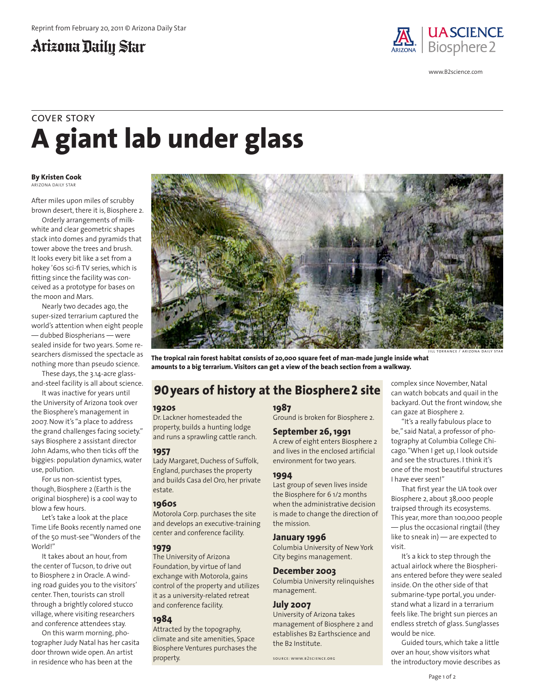### Arizona Daily Star



www.B2science.com

# **A giant lab under glass** cover story

#### **By Kristen Cook** ARIZONA DAILY STAR

After miles upon miles of scrubby brown desert, there it is, Biosphere 2.

Orderly arrangements of milkwhite and clear geometric shapes stack into domes and pyramids that tower above the trees and brush. It looks every bit like a set from a hokey '60s sci-fi TV series, which is fitting since the facility was conceived as a prototype for bases on the moon and Mars.

Nearly two decades ago, the super-sized terrarium captured the world's attention when eight people — dubbed Biospherians — were sealed inside for two years. Some researchers dismissed the spectacle as nothing more than pseudo science.

These days, the 3.14-acre glassand-steel facility is all about science.

It was inactive for years until the University of Arizona took over the Biosphere's management in 2007. Now it's "a place to address the grand challenges facing society." says Biosphere 2 assistant director John Adams, who then ticks off the biggies: population dynamics, water use, pollution.

For us non-scientist types, though, Biosphere 2 (Earth is the original biosphere) is a cool way to blow a few hours.

Let's take a look at the place Time Life Books recently named one of the 50 must-see "Wonders of the World!"

It takes about an hour, from the center of Tucson, to drive out to Biosphere 2 in Oracle. A winding road guides you to the visitors' center. Then, tourists can stroll through a brightly colored stucco village, where visiting researchers and conference attendees stay.

On this warm morning, photographer Judy Natal has her casita door thrown wide open. An artist in residence who has been at the

**The tropical rain forest habitat consists of 20,000 square feet of man-made jungle inside what amounts to a big terrarium. Visitors can get a view of the beach section from a walkway.**

### **90 years of history at the Biosphere2 site**

#### **1920s**

Dr. Lackner homesteaded the property, builds a hunting lodge and runs a sprawling cattle ranch.

#### **1957**

Lady Margaret, Duchess of Suffolk, England, purchases the property and builds Casa del Oro, her private estate.

#### **1960s**

Motorola Corp. purchases the site and develops an executive-training center and conference facility.

#### **1979**

The University of Arizona Foundation, by virtue of land exchange with Motorola, gains control of the property and utilizes it as a university-related retreat and conference facility.

#### **1984**

Attracted by the topography, climate and site amenities, Space Biosphere Ventures purchases the property.

#### **1987**

Ground is broken for Biosphere 2.

#### **September 26, 1991**

A crew of eight enters Biosphere 2 and lives in the enclosed artificial environment for two years.

#### **1994**

Last group of seven lives inside the Biosphere for 6 1/2 months when the administrative decision is made to change the direction of the mission.

#### **January 1996**

Columbia University of New York City begins management.

#### **December 2003**

Columbia University relinquishes management.

#### **July 2007**

University of Arizona takes management of Biosphere 2 and establishes B2 Earthscience and the B2 Institute.

source: www.b2science.org

complex since November, Natal can watch bobcats and quail in the backyard. Out the front window, she can gaze at Biosphere 2.

jill torrance / arizona daily star

"It's a really fabulous place to be," said Natal, a professor of photography at Columbia College Chicago. "When I get up, I look outside and see the structures. I think it's one of the most beautiful structures I have ever seen!"

That first year the UA took over Biosphere 2, about 38,000 people traipsed through its ecosystems. This year, more than 100,000 people — plus the occasional ringtail (they like to sneak in) — are expected to visit.

It's a kick to step through the actual airlock where the Biospherians entered before they were sealed inside. On the other side of that submarine-type portal, you understand what a lizard in a terrarium feels like. The bright sun pierces an endless stretch of glass. Sunglasses would be nice.

Guided tours, which take a little over an hour, show visitors what the introductory movie describes as